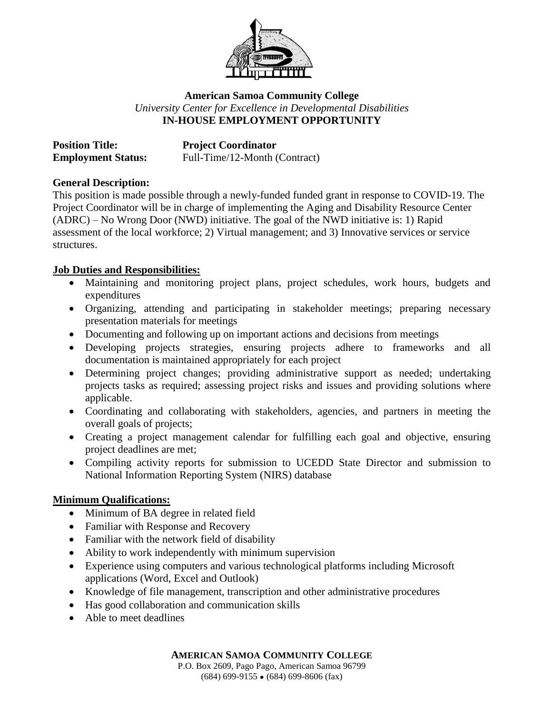

## **American Samoa Community College** *University Center for Excellence in Developmental Disabilities* **IN-HOUSE EMPLOYMENT OPPORTUNITY**

| <b>Position Title:</b>    | <b>Project Coordinator</b>    |
|---------------------------|-------------------------------|
| <b>Employment Status:</b> | Full-Time/12-Month (Contract) |

## **General Description:**

This position is made possible through a newly-funded funded grant in response to COVID-19. The Project Coordinator will be in charge of implementing the Aging and Disability Resource Center (ADRC) – No Wrong Door (NWD) initiative. The goal of the NWD initiative is: 1) Rapid assessment of the local workforce; 2) Virtual management; and 3) Innovative services or service structures.

## **Job Duties and Responsibilities:**

- Maintaining and monitoring project plans, project schedules, work hours, budgets and expenditures
- Organizing, attending and participating in stakeholder meetings; preparing necessary presentation materials for meetings
- Documenting and following up on important actions and decisions from meetings
- Developing projects strategies, ensuring projects adhere to frameworks and all documentation is maintained appropriately for each project
- Determining project changes; providing administrative support as needed; undertaking projects tasks as required; assessing project risks and issues and providing solutions where applicable.
- Coordinating and collaborating with stakeholders, agencies, and partners in meeting the overall goals of projects;
- Creating a project management calendar for fulfilling each goal and objective, ensuring project deadlines are met;
- Compiling activity reports for submission to UCEDD State Director and submission to National Information Reporting System (NIRS) database

## **Minimum Qualifications:**

- Minimum of BA degree in related field
- Familiar with Response and Recovery
- Familiar with the network field of disability
- Ability to work independently with minimum supervision
- Experience using computers and various technological platforms including Microsoft applications (Word, Excel and Outlook)
- Knowledge of file management, transcription and other administrative procedures
- Has good collaboration and communication skills
- Able to meet deadlines